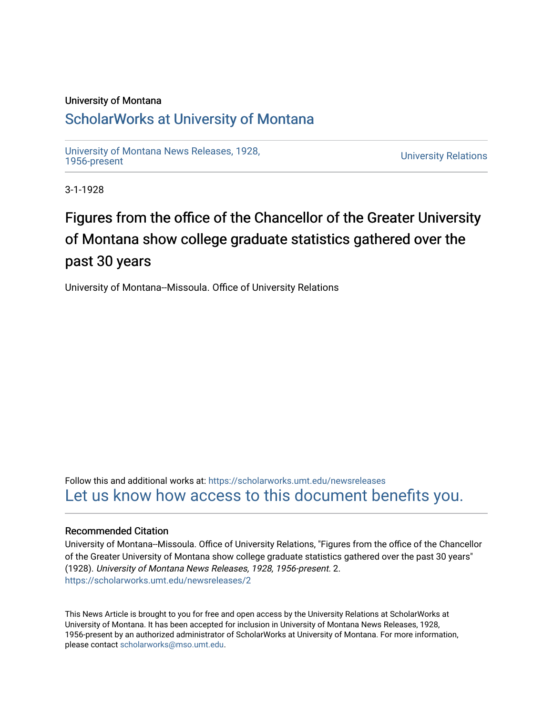## University of Montana

## [ScholarWorks at University of Montana](https://scholarworks.umt.edu/)

[University of Montana News Releases, 1928,](https://scholarworks.umt.edu/newsreleases) 

**University Relations** 

3-1-1928

## Figures from the office of the Chancellor of the Greater University of Montana show college graduate statistics gathered over the past 30 years

University of Montana--Missoula. Office of University Relations

Follow this and additional works at: [https://scholarworks.umt.edu/newsreleases](https://scholarworks.umt.edu/newsreleases?utm_source=scholarworks.umt.edu%2Fnewsreleases%2F2&utm_medium=PDF&utm_campaign=PDFCoverPages) [Let us know how access to this document benefits you.](https://goo.gl/forms/s2rGfXOLzz71qgsB2) 

## Recommended Citation

University of Montana--Missoula. Office of University Relations, "Figures from the office of the Chancellor of the Greater University of Montana show college graduate statistics gathered over the past 30 years" (1928). University of Montana News Releases, 1928, 1956-present. 2. [https://scholarworks.umt.edu/newsreleases/2](https://scholarworks.umt.edu/newsreleases/2?utm_source=scholarworks.umt.edu%2Fnewsreleases%2F2&utm_medium=PDF&utm_campaign=PDFCoverPages)

This News Article is brought to you for free and open access by the University Relations at ScholarWorks at University of Montana. It has been accepted for inclusion in University of Montana News Releases, 1928, 1956-present by an authorized administrator of ScholarWorks at University of Montana. For more information, please contact [scholarworks@mso.umt.edu.](mailto:scholarworks@mso.umt.edu)